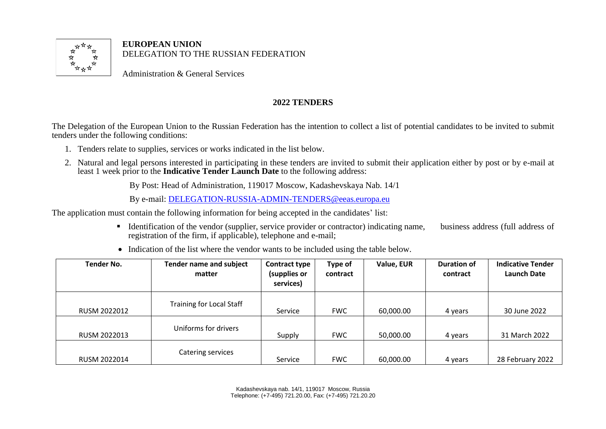

**EUROPEAN UNION**  DELEGATION TO THE RUSSIAN FEDERATION

Administration & General Services

## **2022 TENDERS**

The Delegation of the European Union to the Russian Federation has the intention to collect a list of potential candidates to be invited to submit tenders under the following conditions:

- 1. Tenders relate to supplies, services or works indicated in the list below.
- 2. Natural and legal persons interested in participating in these tenders are invited to submit their application either by post or by e-mail at least 1 week prior to the **Indicative Tender Launch Date** to the following address:

By Post: Head of Administration, 119017 Moscow, Kadashevskaya Nab. 14/1

By e-mail: [DELEGATION-RUSSIA-ADMIN-TENDERS@eeas.europa.eu](mailto:DELEGATION-RUSSIA-ADMIN-TENDERS@eeas.europa.eu)

The application must contain the following information for being accepted in the candidates' list:

▪ Identification of the vendor (supplier, service provider or contractor) indicating name, business address (full address of registration of the firm, if applicable), telephone and e-mail;

| <b>Tender No.</b> | <b>Tender name and subject</b><br>matter | Contract type<br>(supplies or<br>services) | Type of<br>contract | Value, EUR | <b>Duration of</b><br>contract | <b>Indicative Tender</b><br><b>Launch Date</b> |
|-------------------|------------------------------------------|--------------------------------------------|---------------------|------------|--------------------------------|------------------------------------------------|
| RUSM 2022012      | <b>Training for Local Staff</b>          | Service                                    | <b>FWC</b>          | 60,000.00  | 4 years                        | 30 June 2022                                   |
| RUSM 2022013      | Uniforms for drivers                     | Supply                                     | <b>FWC</b>          | 50,000.00  | 4 years                        | 31 March 2022                                  |
| RUSM 2022014      | Catering services                        | Service                                    | <b>FWC</b>          | 60,000.00  | 4 years                        | 28 February 2022                               |

• Indication of the list where the vendor wants to be included using the table below.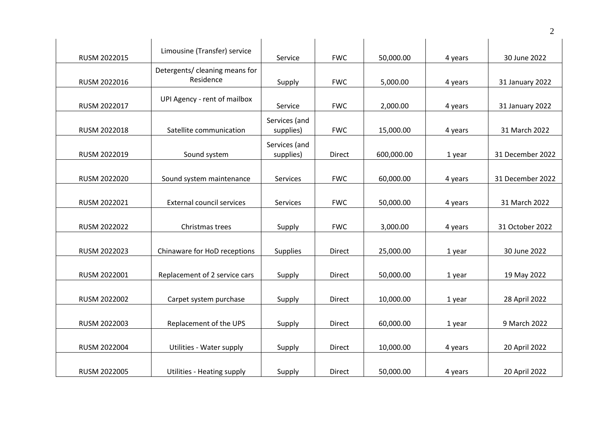| RUSM 2022015 | Limousine (Transfer) service                | Service                    | <b>FWC</b>    | 50,000.00  | 4 years | 30 June 2022     |
|--------------|---------------------------------------------|----------------------------|---------------|------------|---------|------------------|
| RUSM 2022016 | Detergents/ cleaning means for<br>Residence | Supply                     | <b>FWC</b>    | 5,000.00   | 4 years | 31 January 2022  |
| RUSM 2022017 | UPI Agency - rent of mailbox                | Service                    | <b>FWC</b>    | 2,000.00   | 4 years | 31 January 2022  |
| RUSM 2022018 | Satellite communication                     | Services (and<br>supplies) | <b>FWC</b>    | 15,000.00  | 4 years | 31 March 2022    |
| RUSM 2022019 | Sound system                                | Services (and<br>supplies) | <b>Direct</b> | 600,000.00 | 1 year  | 31 December 2022 |
| RUSM 2022020 | Sound system maintenance                    | Services                   | <b>FWC</b>    | 60,000.00  | 4 years | 31 December 2022 |
| RUSM 2022021 | <b>External council services</b>            | Services                   | <b>FWC</b>    | 50,000.00  | 4 years | 31 March 2022    |
| RUSM 2022022 | Christmas trees                             | Supply                     | <b>FWC</b>    | 3,000.00   | 4 years | 31 October 2022  |
| RUSM 2022023 | Chinaware for HoD receptions                | <b>Supplies</b>            | Direct        | 25,000.00  | 1 year  | 30 June 2022     |
| RUSM 2022001 | Replacement of 2 service cars               | Supply                     | Direct        | 50,000.00  | 1 year  | 19 May 2022      |
| RUSM 2022002 | Carpet system purchase                      | Supply                     | Direct        | 10,000.00  | 1 year  | 28 April 2022    |
| RUSM 2022003 | Replacement of the UPS                      | Supply                     | Direct        | 60,000.00  | 1 year  | 9 March 2022     |
| RUSM 2022004 | Utilities - Water supply                    | Supply                     | Direct        | 10,000.00  | 4 years | 20 April 2022    |
| RUSM 2022005 | <b>Utilities - Heating supply</b>           | Supply                     | <b>Direct</b> | 50,000.00  | 4 years | 20 April 2022    |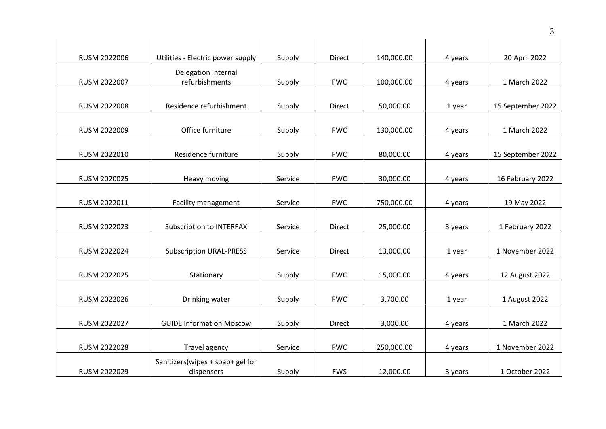|              |                                                |         |            |            |         | 3                 |
|--------------|------------------------------------------------|---------|------------|------------|---------|-------------------|
| RUSM 2022006 | Utilities - Electric power supply              | Supply  | Direct     | 140,000.00 | 4 years | 20 April 2022     |
| RUSM 2022007 | Delegation Internal<br>refurbishments          | Supply  | <b>FWC</b> | 100,000.00 | 4 years | 1 March 2022      |
| RUSM 2022008 | Residence refurbishment                        | Supply  | Direct     | 50,000.00  | 1 year  | 15 September 2022 |
| RUSM 2022009 | Office furniture                               | Supply  | <b>FWC</b> | 130,000.00 | 4 years | 1 March 2022      |
| RUSM 2022010 | Residence furniture                            | Supply  | <b>FWC</b> | 80,000.00  | 4 years | 15 September 2022 |
| RUSM 2020025 | Heavy moving                                   | Service | <b>FWC</b> | 30,000.00  | 4 years | 16 February 2022  |
| RUSM 2022011 | Facility management                            | Service | <b>FWC</b> | 750,000.00 | 4 years | 19 May 2022       |
| RUSM 2022023 | <b>Subscription to INTERFAX</b>                | Service | Direct     | 25,000.00  | 3 years | 1 February 2022   |
| RUSM 2022024 | <b>Subscription URAL-PRESS</b>                 | Service | Direct     | 13,000.00  | 1 year  | 1 November 2022   |
| RUSM 2022025 | Stationary                                     | Supply  | <b>FWC</b> | 15,000.00  | 4 years | 12 August 2022    |
| RUSM 2022026 | Drinking water                                 | Supply  | <b>FWC</b> | 3,700.00   | 1 year  | 1 August 2022     |
| RUSM 2022027 | <b>GUIDE Information Moscow</b>                | Supply  | Direct     | 3,000.00   | 4 years | 1 March 2022      |
| RUSM 2022028 | Travel agency                                  | Service | <b>FWC</b> | 250,000.00 | 4 years | 1 November 2022   |
| RUSM 2022029 | Sanitizers(wipes + soap+ gel for<br>dispensers | Supply  | <b>FWS</b> | 12,000.00  | 3 years | 1 October 2022    |